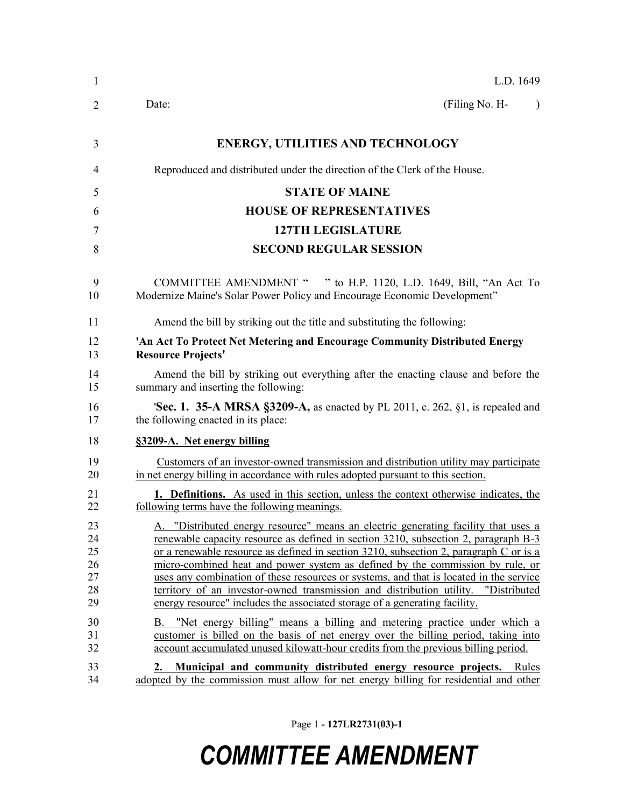| $\mathbf{1}$                           | L.D. 1649                                                                                                                                                                                                                                                                                                                                                                                                                                                                                                                                                                                                            |
|----------------------------------------|----------------------------------------------------------------------------------------------------------------------------------------------------------------------------------------------------------------------------------------------------------------------------------------------------------------------------------------------------------------------------------------------------------------------------------------------------------------------------------------------------------------------------------------------------------------------------------------------------------------------|
| 2                                      | (Filing No. H-<br>Date:<br>$\lambda$                                                                                                                                                                                                                                                                                                                                                                                                                                                                                                                                                                                 |
| 3                                      | <b>ENERGY, UTILITIES AND TECHNOLOGY</b>                                                                                                                                                                                                                                                                                                                                                                                                                                                                                                                                                                              |
| 4                                      | Reproduced and distributed under the direction of the Clerk of the House.                                                                                                                                                                                                                                                                                                                                                                                                                                                                                                                                            |
| 5                                      | <b>STATE OF MAINE</b>                                                                                                                                                                                                                                                                                                                                                                                                                                                                                                                                                                                                |
| 6                                      | <b>HOUSE OF REPRESENTATIVES</b>                                                                                                                                                                                                                                                                                                                                                                                                                                                                                                                                                                                      |
| 7                                      | <b>127TH LEGISLATURE</b>                                                                                                                                                                                                                                                                                                                                                                                                                                                                                                                                                                                             |
| 8                                      | <b>SECOND REGULAR SESSION</b>                                                                                                                                                                                                                                                                                                                                                                                                                                                                                                                                                                                        |
| 9<br>10                                | COMMITTEE AMENDMENT " " to H.P. 1120, L.D. 1649, Bill, "An Act To<br>Modernize Maine's Solar Power Policy and Encourage Economic Development"                                                                                                                                                                                                                                                                                                                                                                                                                                                                        |
| 11                                     | Amend the bill by striking out the title and substituting the following:                                                                                                                                                                                                                                                                                                                                                                                                                                                                                                                                             |
| 12<br>13                               | 'An Act To Protect Net Metering and Encourage Community Distributed Energy<br><b>Resource Projects'</b>                                                                                                                                                                                                                                                                                                                                                                                                                                                                                                              |
| 14<br>15                               | Amend the bill by striking out everything after the enacting clause and before the<br>summary and inserting the following:                                                                                                                                                                                                                                                                                                                                                                                                                                                                                           |
| 16<br>17                               | <b>Sec. 1. 35-A MRSA §3209-A,</b> as enacted by PL 2011, c. 262, §1, is repealed and<br>the following enacted in its place:                                                                                                                                                                                                                                                                                                                                                                                                                                                                                          |
| 18                                     | §3209-A. Net energy billing                                                                                                                                                                                                                                                                                                                                                                                                                                                                                                                                                                                          |
| 19<br>20                               | Customers of an investor-owned transmission and distribution utility may participate<br>in net energy billing in accordance with rules adopted pursuant to this section.                                                                                                                                                                                                                                                                                                                                                                                                                                             |
| 21<br>22                               | 1. Definitions. As used in this section, unless the context otherwise indicates, the<br>following terms have the following meanings.                                                                                                                                                                                                                                                                                                                                                                                                                                                                                 |
| 23<br>24<br>25<br>26<br>27<br>28<br>29 | "Distributed energy resource" means an electric generating facility that uses a<br>A.<br>renewable capacity resource as defined in section 3210, subsection 2, paragraph B-3<br>or a renewable resource as defined in section 3210, subsection 2, paragraph C or is a<br>micro-combined heat and power system as defined by the commission by rule, or<br>uses any combination of these resources or systems, and that is located in the service<br>territory of an investor-owned transmission and distribution utility. "Distributed<br>energy resource" includes the associated storage of a generating facility. |
| 30<br>31<br>32                         | "Net energy billing" means a billing and metering practice under which a<br>В.<br>customer is billed on the basis of net energy over the billing period, taking into<br>account accumulated unused kilowatt-hour credits from the previous billing period.                                                                                                                                                                                                                                                                                                                                                           |
| 33<br>34                               | 2. Municipal and community distributed energy resource projects. Rules<br>adopted by the commission must allow for net energy billing for residential and other                                                                                                                                                                                                                                                                                                                                                                                                                                                      |

Page 1 **- 127LR2731(03)-1**

## *COMMITTEE AMENDMENT*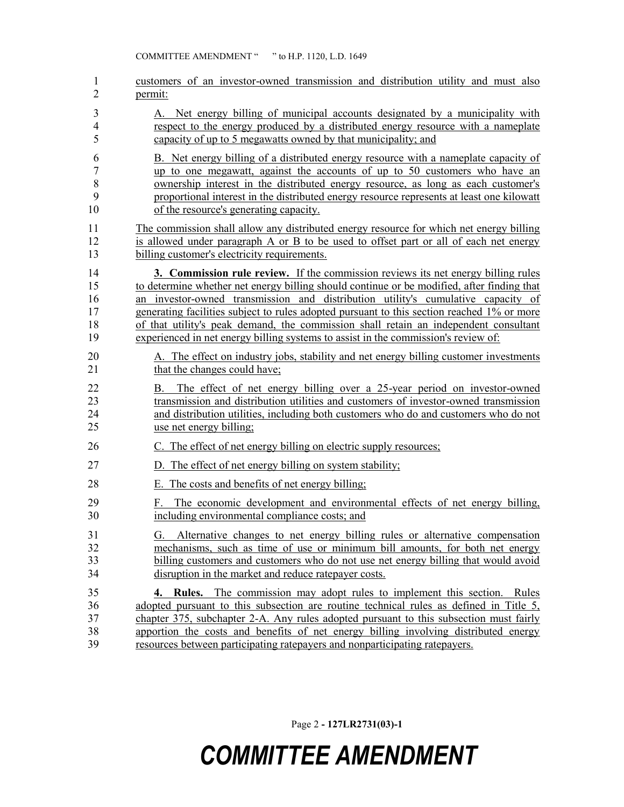COMMITTEE AMENDMENT " " to H.P. 1120, L.D. 1649

| 1                    | customers of an investor-owned transmission and distribution utility and must also                                                                                                                                                                                                        |
|----------------------|-------------------------------------------------------------------------------------------------------------------------------------------------------------------------------------------------------------------------------------------------------------------------------------------|
| 2                    | permit:                                                                                                                                                                                                                                                                                   |
| 3                    | A. Net energy billing of municipal accounts designated by a municipality with                                                                                                                                                                                                             |
| 4                    | respect to the energy produced by a distributed energy resource with a nameplate                                                                                                                                                                                                          |
| 5                    | capacity of up to 5 megawatts owned by that municipality; and                                                                                                                                                                                                                             |
| 6                    | B. Net energy billing of a distributed energy resource with a nameplate capacity of                                                                                                                                                                                                       |
| $\boldsymbol{7}$     | up to one megawatt, against the accounts of up to 50 customers who have an                                                                                                                                                                                                                |
| $\,8\,$              | ownership interest in the distributed energy resource, as long as each customer's                                                                                                                                                                                                         |
| 9                    | proportional interest in the distributed energy resource represents at least one kilowatt                                                                                                                                                                                                 |
| 10                   | of the resource's generating capacity.                                                                                                                                                                                                                                                    |
| 11                   | The commission shall allow any distributed energy resource for which net energy billing                                                                                                                                                                                                   |
| 12                   | is allowed under paragraph A or B to be used to offset part or all of each net energy                                                                                                                                                                                                     |
| 13                   | billing customer's electricity requirements.                                                                                                                                                                                                                                              |
| 14                   | 3. Commission rule review. If the commission reviews its net energy billing rules                                                                                                                                                                                                         |
| 15                   | to determine whether net energy billing should continue or be modified, after finding that                                                                                                                                                                                                |
| 16                   | an investor-owned transmission and distribution utility's cumulative capacity of                                                                                                                                                                                                          |
| 17                   | generating facilities subject to rules adopted pursuant to this section reached 1% or more                                                                                                                                                                                                |
| 18                   | of that utility's peak demand, the commission shall retain an independent consultant                                                                                                                                                                                                      |
| 19                   | experienced in net energy billing systems to assist in the commission's review of:                                                                                                                                                                                                        |
| 20                   | A. The effect on industry jobs, stability and net energy billing customer investments                                                                                                                                                                                                     |
| 21                   | that the changes could have;                                                                                                                                                                                                                                                              |
| 22<br>23<br>24<br>25 | The effect of net energy billing over a 25-year period on investor-owned<br>B.<br>transmission and distribution utilities and customers of investor-owned transmission<br>and distribution utilities, including both customers who do and customers who do not<br>use net energy billing; |
| 26                   | C. The effect of net energy billing on electric supply resources;                                                                                                                                                                                                                         |
| 27                   | D. The effect of net energy billing on system stability;                                                                                                                                                                                                                                  |
| 28                   | E. The costs and benefits of net energy billing.                                                                                                                                                                                                                                          |
| 29<br>30             | The economic development and environmental effects of net energy billing,<br>F.<br>including environmental compliance costs; and                                                                                                                                                          |
| 31                   | G. Alternative changes to net energy billing rules or alternative compensation                                                                                                                                                                                                            |
| 32                   | mechanisms, such as time of use or minimum bill amounts, for both net energy                                                                                                                                                                                                              |
| 33                   | billing customers and customers who do not use net energy billing that would avoid                                                                                                                                                                                                        |
| 34                   | disruption in the market and reduce ratepayer costs.                                                                                                                                                                                                                                      |
| 35                   | <b>4. Rules.</b> The commission may adopt rules to implement this section. Rules                                                                                                                                                                                                          |
| 36                   | adopted pursuant to this subsection are routine technical rules as defined in Title 5,                                                                                                                                                                                                    |
| 37                   | chapter 375, subchapter 2-A. Any rules adopted pursuant to this subsection must fairly                                                                                                                                                                                                    |
| 38                   | apportion the costs and benefits of net energy billing involving distributed energy                                                                                                                                                                                                       |
| 39                   | resources between participating ratepayers and nonparticipating ratepayers.                                                                                                                                                                                                               |

Page 2 **- 127LR2731(03)-1**

## *COMMITTEE AMENDMENT*